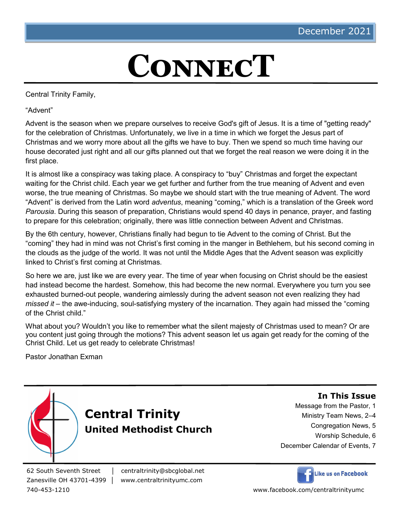# **ConnecT**

Central Trinity Family,

"Advent"

Advent is the season when we prepare ourselves to receive God's gift of Jesus. It is a time of "getting ready" for the celebration of Christmas. Unfortunately, we live in a time in which we forget the Jesus part of Christmas and we worry more about all the gifts we have to buy. Then we spend so much time having our house decorated just right and all our gifts planned out that we forget the real reason we were doing it in the first place.

It is almost like a conspiracy was taking place. A conspiracy to "buy" Christmas and forget the expectant waiting for the Christ child. Each year we get further and further from the true meaning of Advent and even worse, the true meaning of Christmas. So maybe we should start with the true meaning of Advent. The word "Advent" is derived from the Latin word *adventus*, meaning "coming," which is a translation of the Greek word *Parousia*. During this season of preparation, Christians would spend 40 days in penance, prayer, and fasting to prepare for this celebration; originally, there was little connection between Advent and Christmas.

By the 6th century, however, Christians finally had begun to tie Advent to the coming of Christ. But the "coming" they had in mind was not Christ's first coming in the manger in Bethlehem, but his second coming in the clouds as the judge of the world. It was not until the Middle Ages that the Advent season was explicitly linked to Christ's first coming at Christmas.

So here we are, just like we are every year. The time of year when focusing on Christ should be the easiest had instead become the hardest. Somehow, this had become the new normal. Everywhere you turn you see exhausted burned-out people, wandering aimlessly during the advent season not even realizing they had *missed it* – the awe-inducing, soul-satisfying mystery of the incarnation. They again had missed the "coming of the Christ child."

What about you? Wouldn't you like to remember what the silent majesty of Christmas used to mean? Or are you content just going through the motions? This advent season let us again get ready for the coming of the Christ Child. Let us get ready to celebrate Christmas!

Pastor Jonathan Exman



62 South Seventh Street │ centraltrinity@sbcglobal.net

Zanesville OH 43701-4399 │ www.centraltrinityumc.com

#### **In This Issue**

- Message from the Pastor, 1
	- Ministry Team News, 2–4
		- Congregation News, 5
		- Worship Schedule, 6
- December Calendar of Events, 7



740-453-1210 www.facebook.com/centraltrinityumc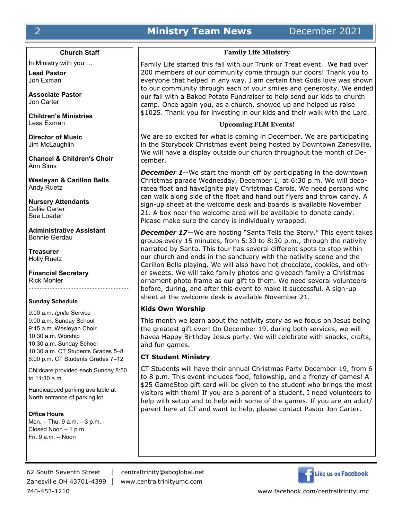#### **Church Staff**

In Ministry with you …

**Lead Pastor** Jon Exman

**Associate Pastor** Jon Carter

**Children's Ministries** Lesa Exman

**Director of Music** Jim McLaughlin

**Chancel & Children's Choir** Ann Sims

**Wesleyan & Carillon Bells** Andy Ruetz

**Nursery Attendants** Callie Carter Sue Loader

**Administrative Assistant** Bonnie Gerdau

**Treasurer** Holly Ruetz

**Financial Secretary** Rick Mohler

#### **Sunday Schedule**

9:00 a.m. *Ignite* Service 9:00 a.m. Sunday School 9:45 a.m. Wesleyan Choir 10:30 a.m. Worship 10:30 a.m. Sunday School 10:30 a.m. CT Students Grades 5–8 6:00 p.m. CT Students Grades 7–12

Childcare provided each Sunday 8:50 to 11:30 a.m.

Handicapped parking available at North entrance of parking lot

**Office Hours** Mon. – Thu. 9 a.m. – 3 p.m. Closed Noon – 1 p.m. Fri. 9 a.m. – Noon

62 South Seventh Street │ centraltrinity@sbcglobal.net Zanesville OH 43701-4399 │ www.centraltrinityumc.com 740-453-1210 www.facebook.com/centraltrinityumc



#### **Family Life Ministry**

Family Life started this fall with our Trunk or Treat event. We had over 200 members of our community come through our doors! Thank you to everyone that helped in any way. I am certain that Gods love was shown to our community through each of your smiles and generosity. We ended our fall with a Baked Potato Fundraiser to help send our kids to church camp. Once again you, as a church, showed up and helped us raise \$1025. Thank you for investing in our kids and their walk with the Lord.

#### **Upcoming FLM Events!**

We are so excited for what is coming in December. We are participating in the Storybook Christmas event being hosted by Downtown Zanesville. We will have a display outside our church throughout the month of December.

**December 1--We start the month off by participating in the downtown** Christmas parade Wednesday, December 1, at 6:30 p.m. We will decoratea float and haveIgnite play Christmas Carols. We need persons who can walk along side of the float and hand out flyers and throw candy. A sign-up sheet at the welcome desk and boards is available November 21. A box near the welcome area will be available to donate candy. Please make sure the candy is individually wrapped.

**December 17-**We are hosting "Santa Tells the Story." This event takes groups every 15 minutes, from 5:30 to 8:30 p.m., through the nativity narrated by Santa. This tour has several different spots to stop within our church and ends in the sanctuary with the nativity scene and the Carillon Bells playing. We will also have hot chocolate, cookies, and other sweets. We will take family photos and giveeach family a Christmas ornament photo frame as our gift to them. We need several volunteers before, during, and after this event to make it successful. A sign-up sheet at the welcome desk is available November 21.

#### **Kids Own Worship**

This month we learn about the nativity story as we focus on Jesus being the greatest gift ever! On December 19, during both services, we will havea Happy Birthday Jesus party. We will celebrate with snacks, crafts, and fun games.

#### **CT Student Ministry**

CT Students will have their annual Christmas Party December 19, from 6 to 8 p.m. This event includes food, fellowship, and a frenzy of games! A \$25 GameStop gift card will be given to the student who brings the most visitors with them! If you are a parent of a student, I need volunteers to help with setup and to help with some of the games. If you are an adult/ parent here at CT and want to help, please contact Pastor Jon Carter.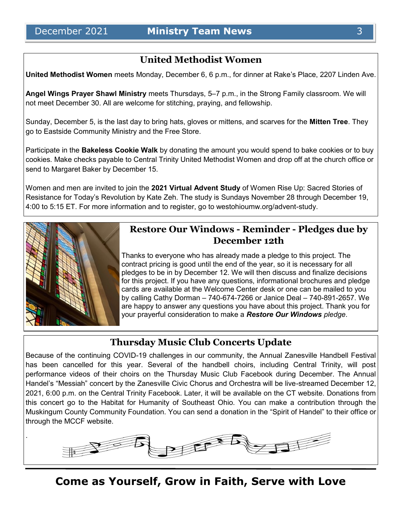#### **United Methodist Women**

**United Methodist Women** meets Monday, December 6, 6 p.m., for dinner at Rake's Place, 2207 Linden Ave.

**Angel Wings Prayer Shawl Ministry** meets Thursdays, 5–7 p.m., in the Strong Family classroom. We will not meet December 30. All are welcome for stitching, praying, and fellowship.

Sunday, December 5, is the last day to bring hats, gloves or mittens, and scarves for the **Mitten Tree**. They go to Eastside Community Ministry and the Free Store.

Participate in the **Bakeless Cookie Walk** by donating the amount you would spend to bake cookies or to buy cookies. Make checks payable to Central Trinity United Methodist Women and drop off at the church office or send to Margaret Baker by December 15.

Women and men are invited to join the **2021 Virtual Advent Study** of Women Rise Up: Sacred Stories of Resistance for Today's Revolution by Kate Zeh. The study is Sundays November 28 through December 19, 4:00 to 5:15 ET. For more information and to register, go to westohioumw.org/advent-study.



.

## **Restore Our Windows - Reminder - Pledges due by December 12th**

Thanks to everyone who has already made a pledge to this project. The contract pricing is good until the end of the year, so it is necessary for all pledges to be in by December 12. We will then discuss and finalize decisions for this project. If you have any questions, informational brochures and pledge cards are available at the Welcome Center desk or one can be mailed to you by calling Cathy Dorman – 740-674-7266 or Janice Deal – 740-891-2657. We are happy to answer any questions you have about this project. Thank you for your prayerful consideration to make a *Restore Our Windows pledge*.

## **Thursday Music Club Concerts Update**

Because of the continuing COVID-19 challenges in our community, the Annual Zanesville Handbell Festival has been cancelled for this year. Several of the handbell choirs, including Central Trinity, will post performance videos of their choirs on the Thursday Music Club Facebook during December. The Annual Handel's "Messiah" concert by the Zanesville Civic Chorus and Orchestra will be live-streamed December 12, 2021, 6:00 p.m. on the Central Trinity Facebook. Later, it will be available on the CT website. Donations from this concert go to the Habitat for Humanity of Southeast Ohio. You can make a contribution through the Muskingum County Community Foundation. You can send a donation in the "Spirit of Handel" to their office or through the MCCF website.



## **Come as Yourself, Grow in Faith, Serve with Love**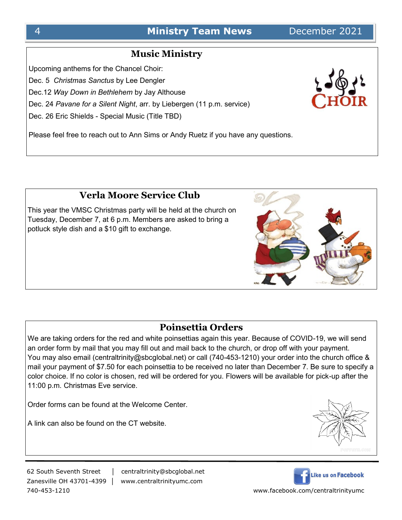## **Music Ministry**

Upcoming anthems for the Chancel Choir:

Dec. 5 *Christmas Sanctus* by Lee Dengler

Dec.12 *Way Down in Bethlehem* by Jay Althouse

Dec. 24 *Pavane for a Silent Night*, arr. by Liebergen (11 p.m. service)

Dec. 26 Eric Shields - Special Music (Title TBD)

Please feel free to reach out to Ann Sims or Andy Ruetz if you have any questions.

## **Verla Moore Service Club**

This year the VMSC Christmas party will be held at the church on Tuesday, December 7, at 6 p.m. Members are asked to bring a potluck style dish and a \$10 gift to exchange.

## **Poinsettia Orders**

We are taking orders for the red and white poinsettias again this year. Because of COVID-19, we will send an order form by mail that you may fill out and mail back to the church, or drop off with your payment. You may also email (centraltrinity@sbcglobal.net) or call (740-453-1210) your order into the church office & mail your payment of \$7.50 for each poinsettia to be received no later than December 7. Be sure to specify a color choice. If no color is chosen, red will be ordered for you. Flowers will be available for pick-up after the 11:00 p.m. Christmas Eve service.

Order forms can be found at the Welcome Center.

A link can also be found on the CT website.



62 South Seventh Street │ centraltrinity@sbcglobal.net

Zanesville OH 43701-4399 │ www.centraltrinityumc.com





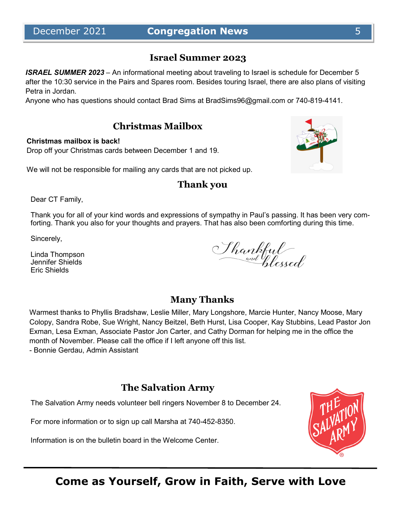#### **Israel Summer 2023**

*ISRAEL SUMMER 2023* – An informational meeting about traveling to Israel is schedule for December 5 after the 10:30 service in the Pairs and Spares room. Besides touring Israel, there are also plans of visiting Petra in Jordan.

Anyone who has questions should contact Brad Sims at BradSims96@gmail.com or 740-819-4141.

#### **Christmas Mailbox**

#### **Christmas mailbox is back!**

Drop off your Christmas cards between December 1 and 19.

We will not be responsible for mailing any cards that are not picked up.

#### **Thank you**

Dear CT Family,

Thank you for all of your kind words and expressions of sympathy in Paul's passing. It has been very comforting. Thank you also for your thoughts and prayers. That has also been comforting during this time.

Sincerely,

Linda Thompson Jennifer Shields Eric Shields

**Many Thanks**

Warmest thanks to Phyllis Bradshaw, Leslie Miller, Mary Longshore, Marcie Hunter, Nancy Moose, Mary Colopy, Sandra Robe, Sue Wright, Nancy Beitzel, Beth Hurst, Lisa Cooper, Kay Stubbins, Lead Pastor Jon Exman, Lesa Exman, Associate Pastor Jon Carter, and Cathy Dorman for helping me in the office the month of November. Please call the office if I left anyone off this list.

- Bonnie Gerdau, Admin Assistant

### **The Salvation Army**

The Salvation Army needs volunteer bell ringers November 8 to December 24.

For more information or to sign up call Marsha at 740-452-8350.

Information is on the bulletin board in the Welcome Center.



Shankful<br>and flessed

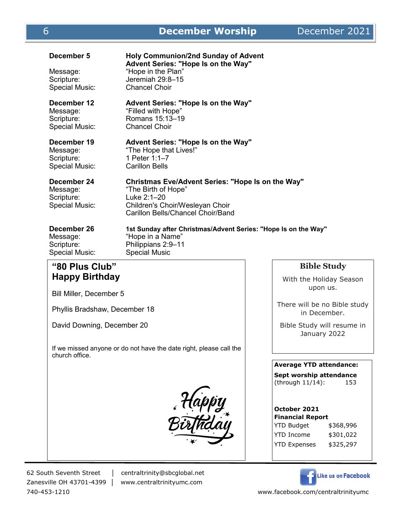| December 5<br>Message:<br>Scripture:<br>Special Music:         | <b>Holy Communion/2nd Sunday of Advent</b><br>Advent Series: "Hope Is on the Way"<br>"Hope in the Plan"<br>Jeremiah 29:8-15<br><b>Chancel Choir</b>             |                    |
|----------------------------------------------------------------|-----------------------------------------------------------------------------------------------------------------------------------------------------------------|--------------------|
| December 12<br>Message:<br>Scripture:<br><b>Special Music:</b> | Advent Series: "Hope Is on the Way"<br>"Filled with Hope"<br>Romans 15:13-19<br><b>Chancel Choir</b>                                                            |                    |
| December 19<br>Message:<br>Scripture:<br>Special Music:        | Advent Series: "Hope Is on the Way"<br>"The Hope that Lives!"<br>1 Peter 1:1-7<br><b>Carillon Bells</b>                                                         |                    |
| December 24<br>Message:<br>Scripture:<br>Special Music:        | Christmas Eve/Advent Series: "Hope Is on the Way"<br>"The Birth of Hope"<br>Luke 2:1–20<br>Children's Choir/Wesleyan Choir<br>Carillon Bells/Chancel Choir/Band |                    |
| December 26<br>Message:<br>Scripture:<br><b>Special Music:</b> | 1st Sunday after Christmas/Advent Series: "Hope Is on the Way"<br>"Hope in a Name"<br>Philippians 2:9-11<br><b>Special Music</b>                                |                    |
| "80 Plus Club"                                                 |                                                                                                                                                                 | <b>Bible Study</b> |

## **Happy Birthday**

Bill Miller, December 5

Phyllis Bradshaw, December 18

David Downing, December 20

If we missed anyone or do not have the date right, please call the church office.



62 South Seventh Street │ centraltrinity@sbcglobal.net

Zanesville OH 43701-4399 │ www.centraltrinityumc.com

With the Holiday Season upon us.

There will be no Bible study in December.

Bible Study will resume in January 2022

## **Average YTD attendance:**

**Sept worship attendance**  (through 11/14): 153

#### **October 2021 Financial Report**

| <b>YTD Budget</b>   | \$368,996 |
|---------------------|-----------|
| YTD Income          | \$301,022 |
| <b>YTD Expenses</b> | \$325,297 |



740-453-1210 www.facebook.com/centraltrinityumc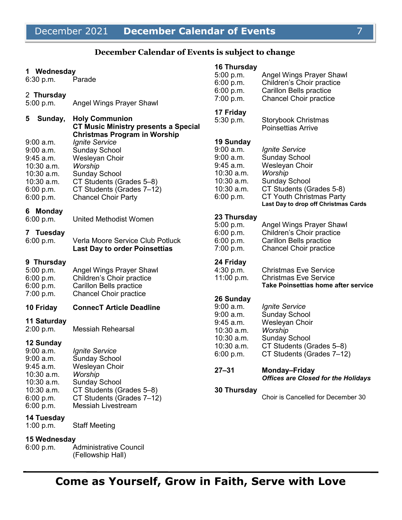## **December Calendar of Events is subject to change**

| 1 Wednesday<br>6:30 p.m.<br>2 Thursday<br>5:00 p.m.                                                               | Parade<br>Angel Wings Prayer Shawl                                                                                                                                                                                               |                                                                                                                   | <b>Angel Wings Prayer Shawl</b><br>Children's Choir practice<br><b>Carillon Bells practice</b><br><b>Chancel Choir practice</b>                                                                                  |
|-------------------------------------------------------------------------------------------------------------------|----------------------------------------------------------------------------------------------------------------------------------------------------------------------------------------------------------------------------------|-------------------------------------------------------------------------------------------------------------------|------------------------------------------------------------------------------------------------------------------------------------------------------------------------------------------------------------------|
| 5<br>Sunday,                                                                                                      | <b>Holy Communion</b><br><b>CT Music Ministry presents a Special</b>                                                                                                                                                             | 17 Friday<br>5:30 p.m.                                                                                            | <b>Storybook Christmas</b><br><b>Poinsettias Arrive</b>                                                                                                                                                          |
| $9:00$ a.m.<br>$9:00$ a.m.<br>$9:45$ a.m.<br>$10:30$ a.m.<br>10:30 a.m.<br>$10:30$ a.m.<br>6:00 p.m.<br>6:00 p.m. | <b>Christmas Program in Worship</b><br><b>Ignite Service</b><br><b>Sunday School</b><br>Wesleyan Choir<br>Worship<br><b>Sunday School</b><br>CT Students (Grades 5-8)<br>CT Students (Grades 7-12)<br><b>Chancel Choir Party</b> | 19 Sunday<br>$9:00$ a.m.<br>$9:00$ a.m.<br>9:45 a.m.<br>$10:30$ a.m.<br>$10:30$ a.m.<br>$10:30$ a.m.<br>6:00 p.m. | <i><b>Ignite Service</b></i><br><b>Sunday School</b><br>Wesleyan Choir<br>Worship<br><b>Sunday School</b><br>CT Students (Grades 5-8)<br><b>CT Youth Christmas Party</b><br>Last Day to drop off Christmas Cards |
| 6 Monday<br>6:00 p.m.<br>7 Tuesday<br>6:00 p.m.                                                                   | <b>United Methodist Women</b><br>Verla Moore Service Club Potluck<br><b>Last Day to order Poinsettias</b>                                                                                                                        | 23 Thursday<br>5:00 p.m.<br>6:00 p.m.<br>6:00 p.m.<br>7:00 p.m.                                                   | <b>Angel Wings Prayer Shawl</b><br>Children's Choir practice<br><b>Carillon Bells practice</b><br><b>Chancel Choir practice</b>                                                                                  |
| 9 Thursday<br>5:00 p.m.<br>6:00 p.m.<br>6:00 p.m.<br>7:00 p.m.                                                    | Angel Wings Prayer Shawl<br>Children's Choir practice<br>Carillon Bells practice<br><b>Chancel Choir practice</b>                                                                                                                | 24 Friday<br>4:30 p.m.<br>11:00 p.m.                                                                              | <b>Christmas Eve Service</b><br><b>Christmas Eve Service</b><br>Take Poinsettias home after service                                                                                                              |
| 10 Friday                                                                                                         | <b>ConnecT Article Deadline</b>                                                                                                                                                                                                  | 26 Sunday<br>$9:00$ a.m.                                                                                          | <b>Ignite Service</b>                                                                                                                                                                                            |
| 11 Saturday<br>2:00 p.m.                                                                                          | <b>Messiah Rehearsal</b>                                                                                                                                                                                                         | $9:00$ a.m.<br>$9:45$ a.m.<br>$10:30$ a.m.                                                                        | <b>Sunday School</b><br>Wesleyan Choir<br>Worship                                                                                                                                                                |
| 12 Sunday<br>9:00 a.m.<br>$9:00$ a.m.                                                                             | <b>Ignite Service</b><br><b>Sunday School</b>                                                                                                                                                                                    | $10:30$ a.m.<br>10:30 a.m.<br>6:00 p.m.                                                                           | <b>Sunday School</b><br>CT Students (Grades 5-8)<br>CT Students (Grades 7-12)                                                                                                                                    |
| 9:45 a.m.<br>$10:30$ a.m.<br>$10:30$ a.m.                                                                         | Wesleyan Choir<br>Worship<br><b>Sunday School</b>                                                                                                                                                                                | $27 - 31$                                                                                                         | Monday-Friday<br><b>Offices are Closed for the Holidays</b>                                                                                                                                                      |
| 10:30 a.m.<br>6:00 p.m.<br>6:00 p.m.                                                                              | CT Students (Grades 5-8)<br>CT Students (Grades 7-12)<br><b>Messiah Livestream</b>                                                                                                                                               | 30 Thursday                                                                                                       | Choir is Cancelled for December 30                                                                                                                                                                               |
| 14 Tuesday<br>1:00 $p.m.$                                                                                         | <b>Staff Meeting</b>                                                                                                                                                                                                             |                                                                                                                   |                                                                                                                                                                                                                  |
| 15 Wednesday                                                                                                      |                                                                                                                                                                                                                                  |                                                                                                                   |                                                                                                                                                                                                                  |

6:00 p.m. Administrative Council (Fellowship Hall)